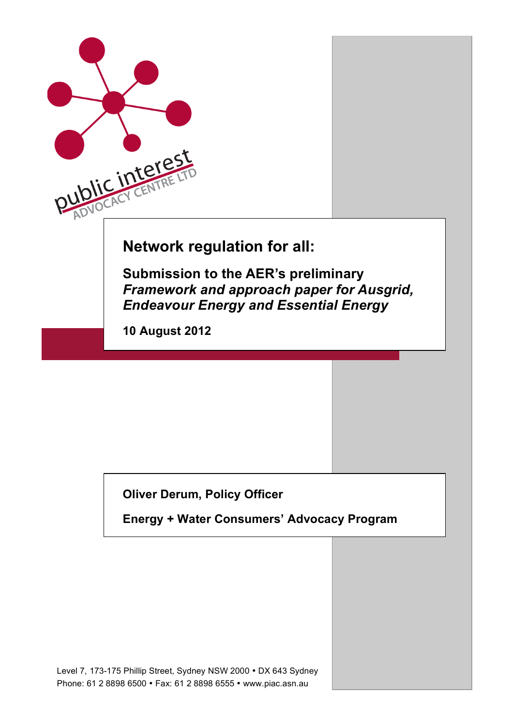

# **Oliver Derum, Policy Officer**

**Energy + Water Consumers' Advocacy Program**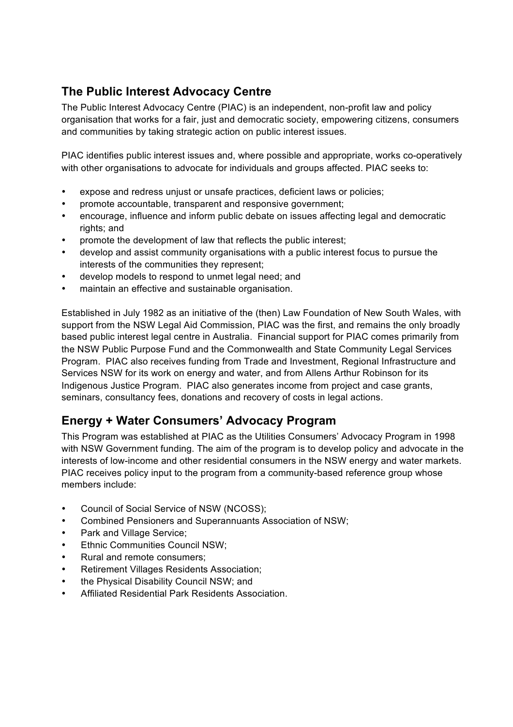## **The Public Interest Advocacy Centre**

The Public Interest Advocacy Centre (PIAC) is an independent, non-profit law and policy organisation that works for a fair, just and democratic society, empowering citizens, consumers and communities by taking strategic action on public interest issues.

PIAC identifies public interest issues and, where possible and appropriate, works co-operatively with other organisations to advocate for individuals and groups affected. PIAC seeks to:

- expose and redress unjust or unsafe practices, deficient laws or policies;
- promote accountable, transparent and responsive government;
- encourage, influence and inform public debate on issues affecting legal and democratic rights; and
- promote the development of law that reflects the public interest;
- develop and assist community organisations with a public interest focus to pursue the interests of the communities they represent;
- develop models to respond to unmet legal need; and
- maintain an effective and sustainable organisation.

Established in July 1982 as an initiative of the (then) Law Foundation of New South Wales, with support from the NSW Legal Aid Commission, PIAC was the first, and remains the only broadly based public interest legal centre in Australia. Financial support for PIAC comes primarily from the NSW Public Purpose Fund and the Commonwealth and State Community Legal Services Program. PIAC also receives funding from Trade and Investment, Regional Infrastructure and Services NSW for its work on energy and water, and from Allens Arthur Robinson for its Indigenous Justice Program. PIAC also generates income from project and case grants, seminars, consultancy fees, donations and recovery of costs in legal actions.

### **Energy + Water Consumers' Advocacy Program**

This Program was established at PIAC as the Utilities Consumers' Advocacy Program in 1998 with NSW Government funding. The aim of the program is to develop policy and advocate in the interests of low-income and other residential consumers in the NSW energy and water markets. PIAC receives policy input to the program from a community-based reference group whose members include:

- Council of Social Service of NSW (NCOSS);
- Combined Pensioners and Superannuants Association of NSW;
- Park and Village Service;
- **Ethnic Communities Council NSW:**
- Rural and remote consumers;
- Retirement Villages Residents Association;
- the Physical Disability Council NSW; and
- Affiliated Residential Park Residents Association.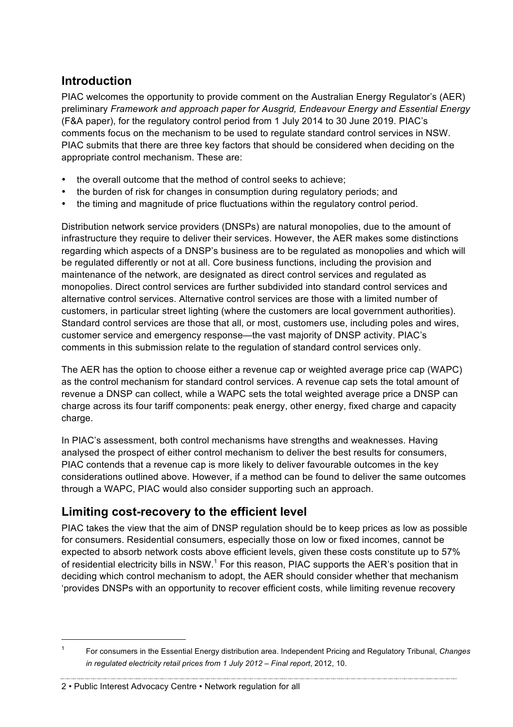#### **Introduction**

PIAC welcomes the opportunity to provide comment on the Australian Energy Regulator's (AER) preliminary *Framework and approach paper for Ausgrid, Endeavour Energy and Essential Energy* (F&A paper), for the regulatory control period from 1 July 2014 to 30 June 2019. PIAC's comments focus on the mechanism to be used to regulate standard control services in NSW. PIAC submits that there are three key factors that should be considered when deciding on the appropriate control mechanism. These are:

- the overall outcome that the method of control seeks to achieve;
- the burden of risk for changes in consumption during regulatory periods; and
- the timing and magnitude of price fluctuations within the regulatory control period.

Distribution network service providers (DNSPs) are natural monopolies, due to the amount of infrastructure they require to deliver their services. However, the AER makes some distinctions regarding which aspects of a DNSP's business are to be regulated as monopolies and which will be regulated differently or not at all. Core business functions, including the provision and maintenance of the network, are designated as direct control services and regulated as monopolies. Direct control services are further subdivided into standard control services and alternative control services. Alternative control services are those with a limited number of customers, in particular street lighting (where the customers are local government authorities). Standard control services are those that all, or most, customers use, including poles and wires, customer service and emergency response—the vast majority of DNSP activity. PIAC's comments in this submission relate to the regulation of standard control services only.

The AER has the option to choose either a revenue cap or weighted average price cap (WAPC) as the control mechanism for standard control services. A revenue cap sets the total amount of revenue a DNSP can collect, while a WAPC sets the total weighted average price a DNSP can charge across its four tariff components: peak energy, other energy, fixed charge and capacity charge.

In PIAC's assessment, both control mechanisms have strengths and weaknesses. Having analysed the prospect of either control mechanism to deliver the best results for consumers, PIAC contends that a revenue cap is more likely to deliver favourable outcomes in the key considerations outlined above. However, if a method can be found to deliver the same outcomes through a WAPC, PIAC would also consider supporting such an approach.

### **Limiting cost-recovery to the efficient level**

PIAC takes the view that the aim of DNSP regulation should be to keep prices as low as possible for consumers. Residential consumers, especially those on low or fixed incomes, cannot be expected to absorb network costs above efficient levels, given these costs constitute up to 57% of residential electricity bills in NSW.<sup>1</sup> For this reason, PIAC supports the AER's position that in deciding which control mechanism to adopt, the AER should consider whether that mechanism 'provides DNSPs with an opportunity to recover efficient costs, while limiting revenue recovery

2 • Public Interest Advocacy Centre • Network regulation for all

 <sup>1</sup> For consumers in the Essential Energy distribution area. Independent Pricing and Regulatory Tribunal, *Changes in regulated electricity retail prices from 1 July 2012 – Final report*, 2012, 10.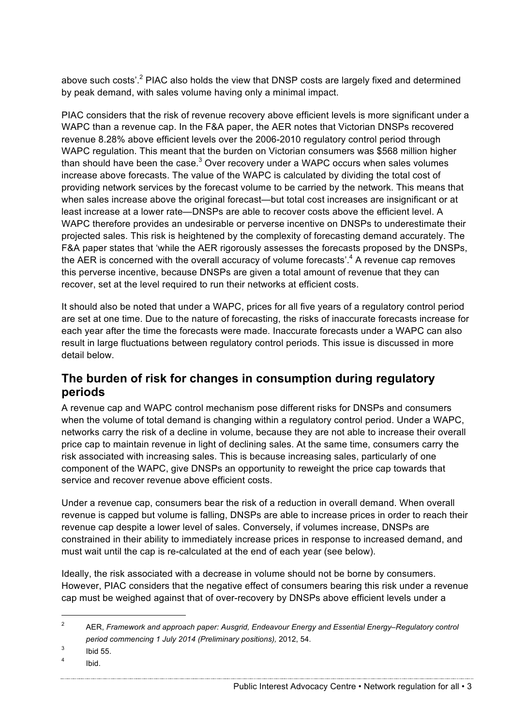above such costs'.<sup>2</sup> PIAC also holds the view that DNSP costs are largely fixed and determined by peak demand, with sales volume having only a minimal impact.

PIAC considers that the risk of revenue recovery above efficient levels is more significant under a WAPC than a revenue cap. In the F&A paper, the AER notes that Victorian DNSPs recovered revenue 8.28% above efficient levels over the 2006-2010 regulatory control period through WAPC regulation. This meant that the burden on Victorian consumers was \$568 million higher than should have been the case. $3$  Over recovery under a WAPC occurs when sales volumes increase above forecasts. The value of the WAPC is calculated by dividing the total cost of providing network services by the forecast volume to be carried by the network. This means that when sales increase above the original forecast—but total cost increases are insignificant or at least increase at a lower rate—DNSPs are able to recover costs above the efficient level. A WAPC therefore provides an undesirable or perverse incentive on DNSPs to underestimate their projected sales. This risk is heightened by the complexity of forecasting demand accurately. The F&A paper states that 'while the AER rigorously assesses the forecasts proposed by the DNSPs, the AER is concerned with the overall accuracy of volume forecasts'.<sup>4</sup> A revenue cap removes this perverse incentive, because DNSPs are given a total amount of revenue that they can recover, set at the level required to run their networks at efficient costs.

It should also be noted that under a WAPC, prices for all five years of a regulatory control period are set at one time. Due to the nature of forecasting, the risks of inaccurate forecasts increase for each year after the time the forecasts were made. Inaccurate forecasts under a WAPC can also result in large fluctuations between regulatory control periods. This issue is discussed in more detail below.

#### **The burden of risk for changes in consumption during regulatory periods**

A revenue cap and WAPC control mechanism pose different risks for DNSPs and consumers when the volume of total demand is changing within a regulatory control period. Under a WAPC, networks carry the risk of a decline in volume, because they are not able to increase their overall price cap to maintain revenue in light of declining sales. At the same time, consumers carry the risk associated with increasing sales. This is because increasing sales, particularly of one component of the WAPC, give DNSPs an opportunity to reweight the price cap towards that service and recover revenue above efficient costs.

Under a revenue cap, consumers bear the risk of a reduction in overall demand. When overall revenue is capped but volume is falling, DNSPs are able to increase prices in order to reach their revenue cap despite a lower level of sales. Conversely, if volumes increase, DNSPs are constrained in their ability to immediately increase prices in response to increased demand, and must wait until the cap is re-calculated at the end of each year (see below).

Ideally, the risk associated with a decrease in volume should not be borne by consumers. However, PIAC considers that the negative effect of consumers bearing this risk under a revenue cap must be weighed against that of over-recovery by DNSPs above efficient levels under a

Public Interest Advocacy Centre • Network regulation for all • 3

 <sup>2</sup> AER, *Framework and approach paper: Ausgrid, Endeavour Energy and Essential Energy–Regulatory control period commencing 1 July 2014 (Preliminary positions),* 2012, 54.

 $3$  Ibid 55.

 $4$  Ibid.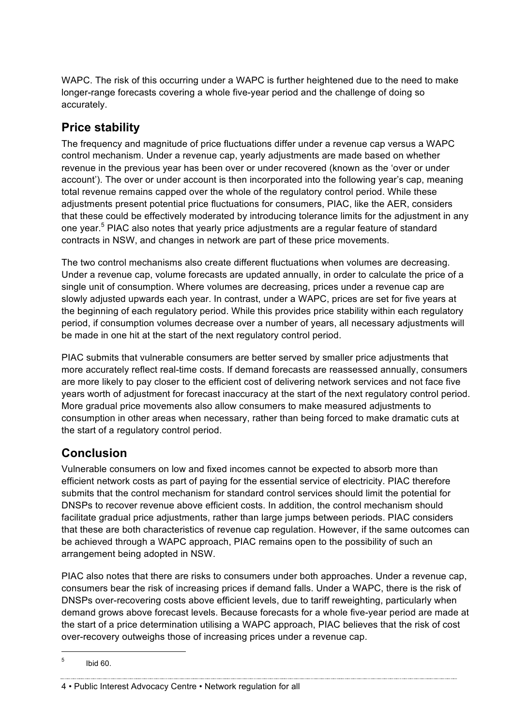WAPC. The risk of this occurring under a WAPC is further heightened due to the need to make longer-range forecasts covering a whole five-year period and the challenge of doing so accurately.

## **Price stability**

The frequency and magnitude of price fluctuations differ under a revenue cap versus a WAPC control mechanism. Under a revenue cap, yearly adjustments are made based on whether revenue in the previous year has been over or under recovered (known as the 'over or under account'). The over or under account is then incorporated into the following year's cap, meaning total revenue remains capped over the whole of the regulatory control period. While these adjustments present potential price fluctuations for consumers, PIAC, like the AER, considers that these could be effectively moderated by introducing tolerance limits for the adjustment in any one year.<sup>5</sup> PIAC also notes that yearly price adjustments are a regular feature of standard contracts in NSW, and changes in network are part of these price movements.

The two control mechanisms also create different fluctuations when volumes are decreasing. Under a revenue cap, volume forecasts are updated annually, in order to calculate the price of a single unit of consumption. Where volumes are decreasing, prices under a revenue cap are slowly adjusted upwards each year. In contrast, under a WAPC, prices are set for five years at the beginning of each regulatory period. While this provides price stability within each regulatory period, if consumption volumes decrease over a number of years, all necessary adjustments will be made in one hit at the start of the next regulatory control period.

PIAC submits that vulnerable consumers are better served by smaller price adjustments that more accurately reflect real-time costs. If demand forecasts are reassessed annually, consumers are more likely to pay closer to the efficient cost of delivering network services and not face five years worth of adjustment for forecast inaccuracy at the start of the next regulatory control period. More gradual price movements also allow consumers to make measured adjustments to consumption in other areas when necessary, rather than being forced to make dramatic cuts at the start of a regulatory control period.

# **Conclusion**

Vulnerable consumers on low and fixed incomes cannot be expected to absorb more than efficient network costs as part of paying for the essential service of electricity. PIAC therefore submits that the control mechanism for standard control services should limit the potential for DNSPs to recover revenue above efficient costs. In addition, the control mechanism should facilitate gradual price adjustments, rather than large jumps between periods. PIAC considers that these are both characteristics of revenue cap regulation. However, if the same outcomes can be achieved through a WAPC approach, PIAC remains open to the possibility of such an arrangement being adopted in NSW.

PIAC also notes that there are risks to consumers under both approaches. Under a revenue cap, consumers bear the risk of increasing prices if demand falls. Under a WAPC, there is the risk of DNSPs over-recovering costs above efficient levels, due to tariff reweighting, particularly when demand grows above forecast levels. Because forecasts for a whole five-year period are made at the start of a price determination utilising a WAPC approach, PIAC believes that the risk of cost over-recovery outweighs those of increasing prices under a revenue cap.

4 • Public Interest Advocacy Centre • Network regulation for all

 $5$  Ibid 60.